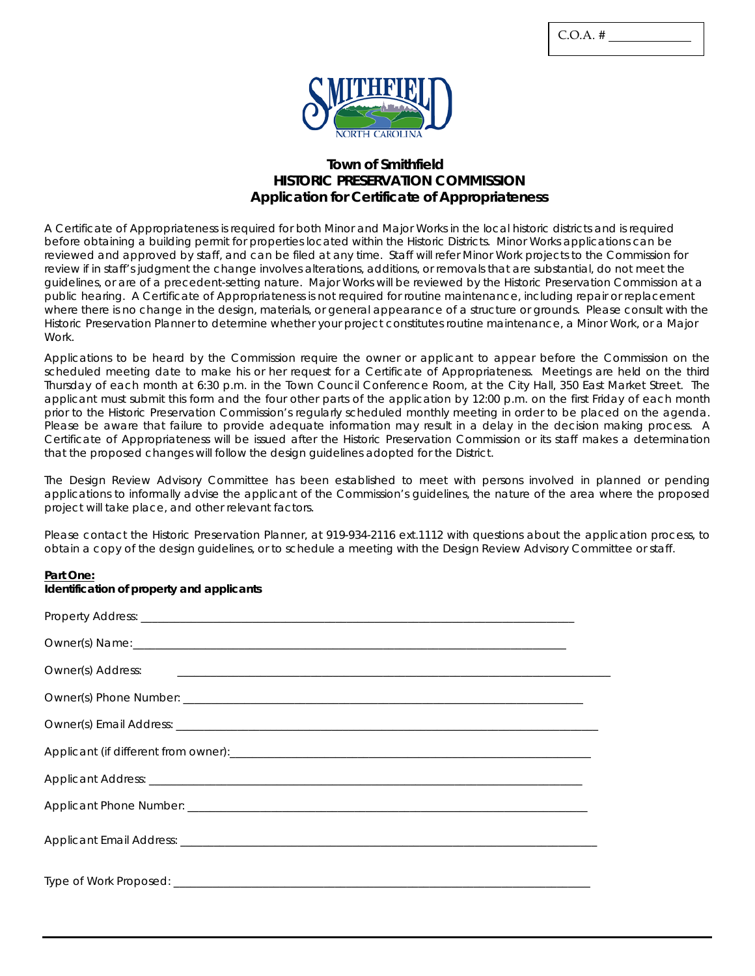$C.O.A.$ #



# **Town of Smithfield HISTORIC PRESERVATION COMMISSION Application for Certificate of Appropriateness**

A Certificate of Appropriateness is required for both Minor and Major Works in the local historic districts and is required before obtaining a building permit for properties located within the Historic Districts. Minor Works applications can be reviewed and approved by staff, and can be filed at any time. Staff will refer Minor Work projects to the Commission for review if in staff's judgment the change involves alterations, additions, or removals that are substantial, do not meet the guidelines, or are of a precedent-setting nature. Major Works will be reviewed by the Historic Preservation Commission at a public hearing. A Certificate of Appropriateness is not required for routine maintenance, including repair or replacement where there is no change in the design, materials, or general appearance of a structure or grounds. Please consult with the Historic Preservation Planner to determine whether your project constitutes routine maintenance, a Minor Work, or a Major Work.

Applications to be heard by the Commission require the owner or applicant to appear before the Commission on the scheduled meeting date to make his or her request for a Certificate of Appropriateness. Meetings are held on the third Thursday of each month at 6:30 p.m. in the Town Council Conference Room, at the City Hall, 350 East Market Street. The applicant must submit this form and the four other parts of the application by 12:00 p.m. on the first Friday of each month prior to the Historic Preservation Commission's regularly scheduled monthly meeting in order to be placed on the agenda. Please be aware that failure to provide adequate information may result in a delay in the decision making process. A Certificate of Appropriateness will be issued after the Historic Preservation Commission or its staff makes a determination that the proposed changes will follow the design guidelines adopted for the District.

The Design Review Advisory Committee has been established to meet with persons involved in planned or pending applications to informally advise the applicant of the Commission's guidelines, the nature of the area where the proposed project will take place, and other relevant factors.

Please contact the Historic Preservation Planner, at 919-934-2116 ext.1112 with questions about the application process, to obtain a copy of the design guidelines, or to schedule a meeting with the Design Review Advisory Committee or staff.

#### **Part One:**

|  |  | Identification of property and applicants |
|--|--|-------------------------------------------|
|--|--|-------------------------------------------|